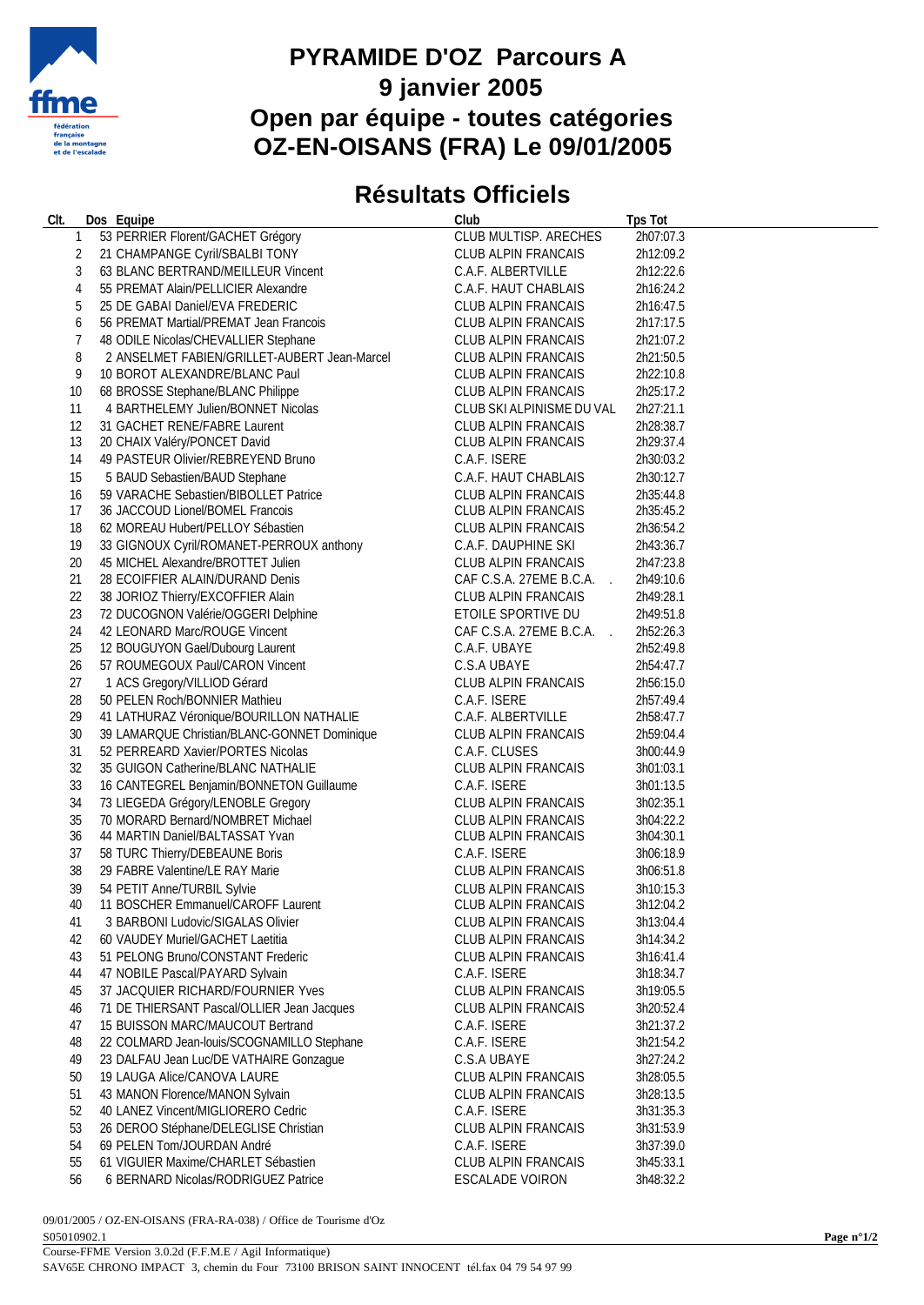

## **PYRAMIDE D'OZ Parcours A 9 janvier 2005 Open par équipe - toutes catégories OZ-EN-OISANS (FRA) Le 09/01/2005**

## **Résultats Officiels**

| CIt.   |              | Dos Equipe                                                    | Club                       | <b>Tps Tot</b>         |
|--------|--------------|---------------------------------------------------------------|----------------------------|------------------------|
|        | $\mathbf{1}$ | 53 PERRIER Florent/GACHET Grégory                             | CLUB MULTISP. ARECHES      | 2h07:07.3              |
|        | 2            | 21 CHAMPANGE Cyril/SBALBI TONY                                | CLUB ALPIN FRANCAIS        | 2h12:09.2              |
|        | 3            | 63 BLANC BERTRAND/MEILLEUR Vincent                            | C.A.F. ALBERTVILLE         | 2h12:22.6              |
|        | 4            | 55 PREMAT Alain/PELLICIER Alexandre                           | C.A.F. HAUT CHABLAIS       | 2h16:24.2              |
|        | 5            | 25 DE GABAI Daniel/EVA FREDERIC                               | CLUB ALPIN FRANCAIS        | 2h16:47.5              |
|        | 6            | 56 PREMAT Martial/PREMAT Jean Francois                        | CLUB ALPIN FRANCAIS        | 2h17:17.5              |
|        | 7            | 48 ODILE Nicolas/CHEVALLIER Stephane                          | CLUB ALPIN FRANCAIS        | 2h21:07.2              |
|        | 8            | 2 ANSELMET FABIEN/GRILLET-AUBERT Jean-Marcel                  | CLUB ALPIN FRANCAIS        | 2h21:50.5              |
|        | 9            | 10 BOROT ALEXANDRE/BLANC Paul                                 | CLUB ALPIN FRANCAIS        | 2h22:10.8              |
| 10     |              | 68 BROSSE Stephane/BLANC Philippe                             | CLUB ALPIN FRANCAIS        | 2h25:17.2              |
| 11     |              | 4 BARTHELEMY Julien/BONNET Nicolas                            | CLUB SKI ALPINISME DU VAL  | 2h27:21.1              |
| 12     |              | 31 GACHET RENE/FABRE Laurent                                  | <b>CLUB ALPIN FRANCAIS</b> | 2h28:38.7              |
| 13     |              | 20 CHAIX Valéry/PONCET David                                  | CLUB ALPIN FRANCAIS        | 2h29:37.4              |
| 14     |              | 49 PASTEUR Olivier/REBREYEND Bruno                            | C.A.F. ISERE               | 2h30:03.2              |
| 15     |              | 5 BAUD Sebastien/BAUD Stephane                                | C.A.F. HAUT CHABLAIS       | 2h30:12.7              |
| 16     |              | 59 VARACHE Sebastien/BIBOLLET Patrice                         | CLUB ALPIN FRANCAIS        | 2h35:44.8              |
| 17     |              | 36 JACCOUD Lionel/BOMEL Francois                              | CLUB ALPIN FRANCAIS        | 2h35:45.2              |
| 18     |              | 62 MOREAU Hubert/PELLOY Sébastien                             | CLUB ALPIN FRANCAIS        | 2h36:54.2              |
| 19     |              | 33 GIGNOUX Cyril/ROMANET-PERROUX anthony                      | C.A.F. DAUPHINE SKI        | 2h43:36.7              |
| 20     |              | 45 MICHEL Alexandre/BROTTET Julien                            | CLUB ALPIN FRANCAIS        | 2h47:23.8              |
| 21     |              | 28 ECOIFFIER ALAIN/DURAND Denis                               | CAF C.S.A. 27EME B.C.A.    | 2h49:10.6              |
| 22     |              | 38 JORIOZ Thierry/EXCOFFIER Alain                             | CLUB ALPIN FRANCAIS        | 2h49:28.1              |
| 23     |              | 72 DUCOGNON Valérie/OGGERI Delphine                           | ETOILE SPORTIVE DU         | 2h49:51.8              |
| 24     |              | 42 LEONARD Marc/ROUGE Vincent                                 | CAF C.S.A. 27EME B.C.A.    |                        |
| 25     |              | 12 BOUGUYON Gael/Dubourg Laurent                              | C.A.F. UBAYE               | 2h52:26.3<br>2h52:49.8 |
| 26     |              | 57 ROUMEGOUX Paul/CARON Vincent                               | C.S.A UBAYE                | 2h54:47.7              |
| 27     |              |                                                               | CLUB ALPIN FRANCAIS        |                        |
| 28     |              | 1 ACS Gregory/VILLIOD Gérard<br>50 PELEN Roch/BONNIER Mathieu | C.A.F. ISERE               | 2h56:15.0<br>2h57:49.4 |
| 29     |              | 41 LATHURAZ Véronique/BOURILLON NATHALIE                      | C.A.F. ALBERTVILLE         | 2h58:47.7              |
| $30\,$ |              | 39 LAMARQUE Christian/BLANC-GONNET Dominique                  | CLUB ALPIN FRANCAIS        | 2h59:04.4              |
| 31     |              | 52 PERREARD Xavier/PORTES Nicolas                             | C.A.F. CLUSES              | 3h00:44.9              |
| 32     |              | 35 GUIGON Catherine/BLANC NATHALIE                            | CLUB ALPIN FRANCAIS        | 3h01:03.1              |
| 33     |              | 16 CANTEGREL Benjamin/BONNETON Guillaume                      | C.A.F. ISERE               | 3h01:13.5              |
| 34     |              | 73 LIEGEDA Grégory/LENOBLE Gregory                            | CLUB ALPIN FRANCAIS        | 3h02:35.1              |
| 35     |              | 70 MORARD Bernard/NOMBRET Michael                             | CLUB ALPIN FRANCAIS        | 3h04:22.2              |
| 36     |              | 44 MARTIN Daniel/BALTASSAT Yvan                               | CLUB ALPIN FRANCAIS        | 3h04:30.1              |
| 37     |              | 58 TURC Thierry/DEBEAUNE Boris                                | C.A.F. ISERE               | 3h06:18.9              |
| 38     |              | 29 FABRE Valentine/LE RAY Marie                               | CLUB ALPIN FRANCAIS        | 3h06:51.8              |
| 39     |              | 54 PETIT Anne/TURBIL Sylvie                                   | CLUB ALPIN FRANCAIS        | 3h10:15.3              |
|        | 40           | 11 BOSCHER Emmanuel/CAROFF Laurent                            | CLUB ALPIN FRANCAIS        | 3h12:04.2              |
| 41     |              | 3 BARBONI Ludovic/SIGALAS Olivier                             | CLUB ALPIN FRANCAIS        | 3h13:04.4              |
| 42     |              | 60 VAUDEY Muriel/GACHET Laetitia                              | CLUB ALPIN FRANCAIS        | 3h14:34.2              |
| 43     |              | 51 PELONG Bruno/CONSTANT Frederic                             | CLUB ALPIN FRANCAIS        | 3h16:41.4              |
| 44     |              | 47 NOBILE Pascal/PAYARD Sylvain                               | C.A.F. ISERE               | 3h18:34.7              |
| 45     |              | 37 JACQUIER RICHARD/FOURNIER Yves                             | CLUB ALPIN FRANCAIS        | 3h19:05.5              |
| 46     |              | 71 DE THIERSANT Pascal/OLLIER Jean Jacques                    | <b>CLUB ALPIN FRANCAIS</b> | 3h20:52.4              |
| 47     |              | 15 BUISSON MARC/MAUCOUT Bertrand                              | C.A.F. ISERE               | 3h21:37.2              |
| 48     |              | 22 COLMARD Jean-louis/SCOGNAMILLO Stephane                    | C.A.F. ISERE               | 3h21:54.2              |
| 49     |              | 23 DALFAU Jean Luc/DE VATHAIRE Gonzague                       | C.S.A UBAYE                | 3h27:24.2              |
| 50     |              | 19 LAUGA Alice/CANOVA LAURE                                   | CLUB ALPIN FRANCAIS        | 3h28:05.5              |
| 51     |              | 43 MANON Florence/MANON Sylvain                               | CLUB ALPIN FRANCAIS        | 3h28:13.5              |
| 52     |              | 40 LANEZ Vincent/MIGLIORERO Cedric                            | C.A.F. ISERE               | 3h31:35.3              |
| 53     |              | 26 DEROO Stéphane/DELEGLISE Christian                         | CLUB ALPIN FRANCAIS        | 3h31:53.9              |
| 54     |              | 69 PELEN Tom/JOURDAN André                                    | C.A.F. ISERE               | 3h37:39.0              |
| 55     |              | 61 VIGUIER Maxime/CHARLET Sébastien                           | CLUB ALPIN FRANCAIS        | 3h45:33.1              |
| 56     |              | 6 BERNARD Nicolas/RODRIGUEZ Patrice                           | ESCALADE VOIRON            | 3h48:32.2              |
|        |              |                                                               |                            |                        |

09/01/2005 / OZ-EN-OISANS (FRA-RA-038) / Office de Tourisme d'Oz S05010902.1